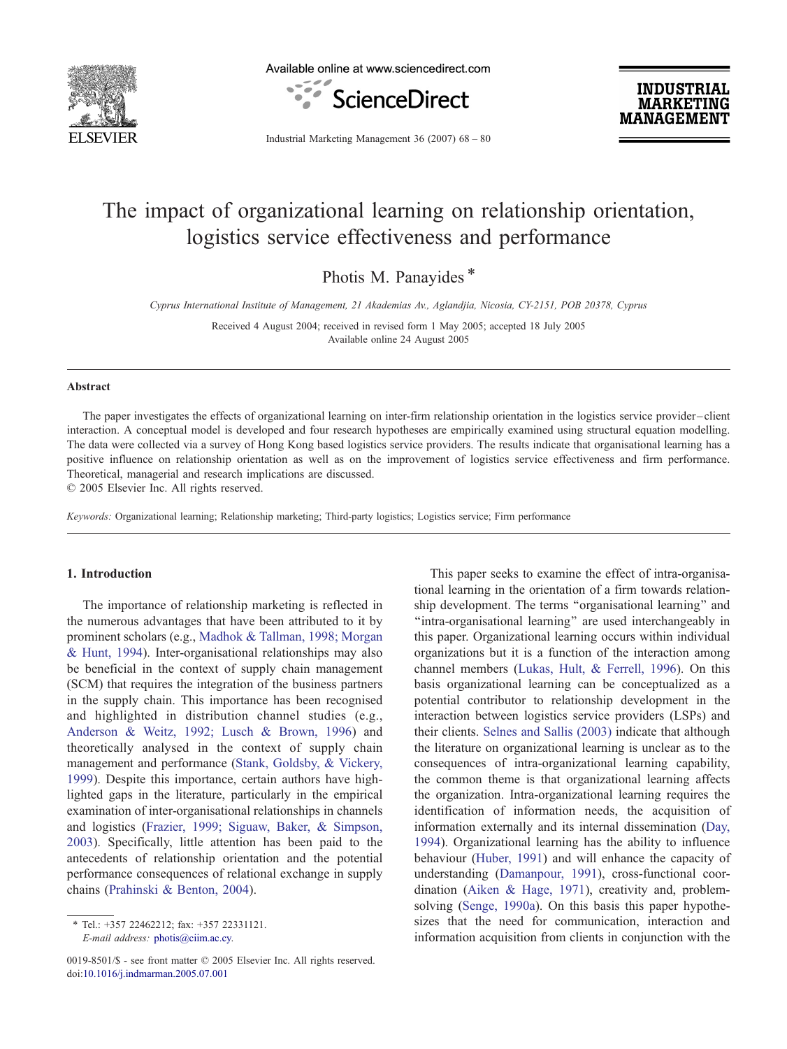

Available online at www.sciencedirect.com



**INDUSTRIAL MARKETING MANAGEMENT** 

Industrial Marketing Management 36 (2007) 68 – 80

# The impact of organizational learning on relationship orientation, logistics service effectiveness and performance

Photis M. Panayides \*

Cyprus International Institute of Management, 21 Akademias Av., Aglandjia, Nicosia, CY-2151, POB 20378, Cyprus

Received 4 August 2004; received in revised form 1 May 2005; accepted 18 July 2005 Available online 24 August 2005

#### Abstract

The paper investigates the effects of organizational learning on inter-firm relationship orientation in the logistics service provider – client interaction. A conceptual model is developed and four research hypotheses are empirically examined using structural equation modelling. The data were collected via a survey of Hong Kong based logistics service providers. The results indicate that organisational learning has a positive influence on relationship orientation as well as on the improvement of logistics service effectiveness and firm performance. Theoretical, managerial and research implications are discussed.

 $© 2005 Elsevier Inc. All rights reserved.$ 

Keywords: Organizational learning; Relationship marketing; Third-party logistics; Logistics service; Firm performance

### 1. Introduction

The importance of relationship marketing is reflected in the numerous advantages that have been attributed to it by prominent scholars (e.g., [Madhok & Tallman, 1998; Morgan](#page--1-0) & Hunt, 1994). Inter-organisational relationships may also be beneficial in the context of supply chain management (SCM) that requires the integration of the business partners in the supply chain. This importance has been recognised and highlighted in distribution channel studies (e.g., [Anderson & Weitz, 1992; Lusch & Brown, 1996\)](#page--1-0) and theoretically analysed in the context of supply chain management and performance [\(Stank, Goldsby, & Vickery,](#page--1-0) 1999). Despite this importance, certain authors have highlighted gaps in the literature, particularly in the empirical examination of inter-organisational relationships in channels and logistics [\(Frazier, 1999; Siguaw, Baker, & Simpson,](#page--1-0) 2003). Specifically, little attention has been paid to the antecedents of relationship orientation and the potential performance consequences of relational exchange in supply chains ([Prahinski & Benton, 2004\)](#page--1-0).

\* Tel.: +357 22462212; fax: +357 22331121. E-mail address: [photis@ciim.ac.cy.](mailto:photis@ciim.ac.cy)

0019-8501/\$ - see front matter © 2005 Elsevier Inc. All rights reserved. doi:[10.1016/j.indmarman.2005.07.001](http://dx.doi.org/10.1016/j.indmarman.2005.07.001)

This paper seeks to examine the effect of intra-organisational learning in the orientation of a firm towards relationship development. The terms "organisational learning" and ''intra-organisational learning'' are used interchangeably in this paper. Organizational learning occurs within individual organizations but it is a function of the interaction among channel members [\(Lukas, Hult, & Ferrell, 1996](#page--1-0)). On this basis organizational learning can be conceptualized as a potential contributor to relationship development in the interaction between logistics service providers (LSPs) and their clients. [Selnes and Sallis \(2003\)](#page--1-0) indicate that although the literature on organizational learning is unclear as to the consequences of intra-organizational learning capability, the common theme is that organizational learning affects the organization. Intra-organizational learning requires the identification of information needs, the acquisition of information externally and its internal dissemination [\(Day,](#page--1-0) 1994). Organizational learning has the ability to influence behaviour ([Huber, 1991\)](#page--1-0) and will enhance the capacity of understanding ([Damanpour, 1991\)](#page--1-0), cross-functional coordination ([Aiken & Hage, 1971\)](#page--1-0), creativity and, problemsolving [\(Senge, 1990a](#page--1-0)). On this basis this paper hypothesizes that the need for communication, interaction and information acquisition from clients in conjunction with the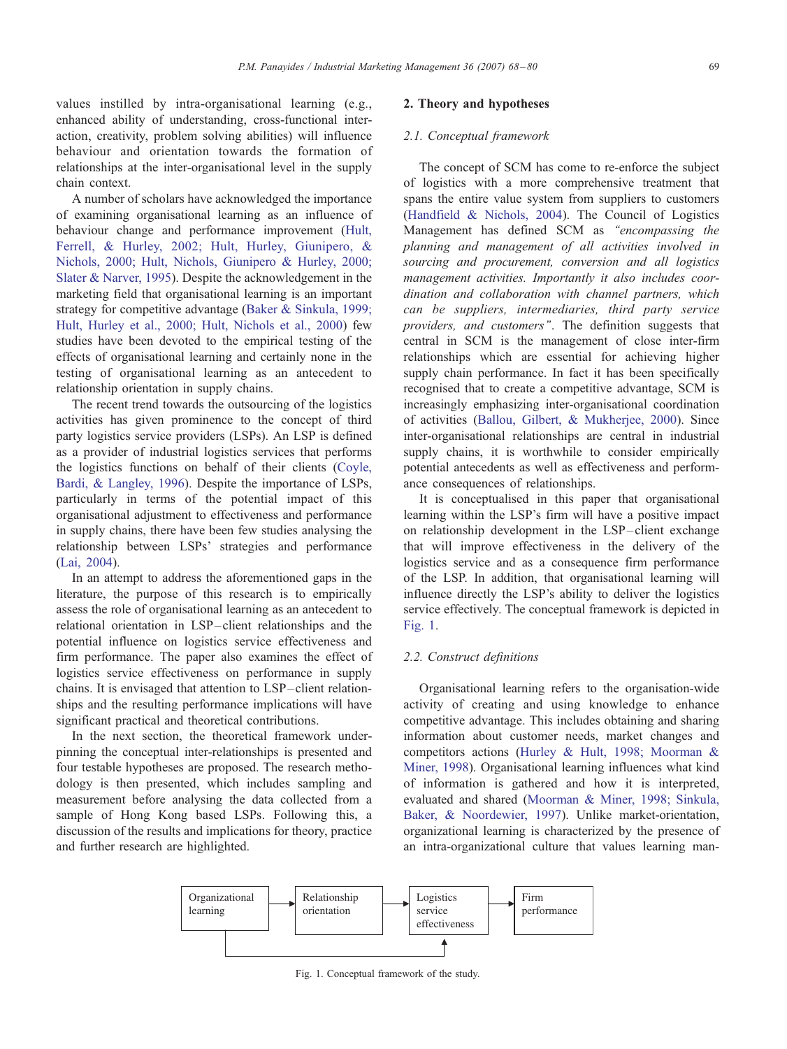values instilled by intra-organisational learning (e.g., enhanced ability of understanding, cross-functional interaction, creativity, problem solving abilities) will influence behaviour and orientation towards the formation of relationships at the inter-organisational level in the supply chain context.

A number of scholars have acknowledged the importance of examining organisational learning as an influence of behaviour change and performance improvement ([Hult,](#page--1-0) Ferrell, & Hurley, 2002; Hult, Hurley, Giunipero, & Nichols, 2000; Hult, Nichols, Giunipero & Hurley, 2000; Slater & Narver, 1995). Despite the acknowledgement in the marketing field that organisational learning is an important strategy for competitive advantage ([Baker & Sinkula, 1999;](#page--1-0) Hult, Hurley et al., 2000; Hult, Nichols et al., 2000) few studies have been devoted to the empirical testing of the effects of organisational learning and certainly none in the testing of organisational learning as an antecedent to relationship orientation in supply chains.

The recent trend towards the outsourcing of the logistics activities has given prominence to the concept of third party logistics service providers (LSPs). An LSP is defined as a provider of industrial logistics services that performs the logistics functions on behalf of their clients ([Coyle,](#page--1-0) Bardi, & Langley, 1996). Despite the importance of LSPs, particularly in terms of the potential impact of this organisational adjustment to effectiveness and performance in supply chains, there have been few studies analysing the relationship between LSPs' strategies and performance ([Lai, 2004\)](#page--1-0).

In an attempt to address the aforementioned gaps in the literature, the purpose of this research is to empirically assess the role of organisational learning as an antecedent to relational orientation in LSP –client relationships and the potential influence on logistics service effectiveness and firm performance. The paper also examines the effect of logistics service effectiveness on performance in supply chains. It is envisaged that attention to LSP –client relationships and the resulting performance implications will have significant practical and theoretical contributions.

In the next section, the theoretical framework underpinning the conceptual inter-relationships is presented and four testable hypotheses are proposed. The research methodology is then presented, which includes sampling and measurement before analysing the data collected from a sample of Hong Kong based LSPs. Following this, a discussion of the results and implications for theory, practice and further research are highlighted.

### 2. Theory and hypotheses

#### 2.1. Conceptual framework

The concept of SCM has come to re-enforce the subject of logistics with a more comprehensive treatment that spans the entire value system from suppliers to customers ([Handfield & Nichols, 2004\)](#page--1-0). The Council of Logistics Management has defined SCM as ''encompassing the planning and management of all activities involved in sourcing and procurement, conversion and all logistics management activities. Importantly it also includes coordination and collaboration with channel partners, which can be suppliers, intermediaries, third party service providers, and customers''. The definition suggests that central in SCM is the management of close inter-firm relationships which are essential for achieving higher supply chain performance. In fact it has been specifically recognised that to create a competitive advantage, SCM is increasingly emphasizing inter-organisational coordination of activities ([Ballou, Gilbert, & Mukherjee, 2000\)](#page--1-0). Since inter-organisational relationships are central in industrial supply chains, it is worthwhile to consider empirically potential antecedents as well as effectiveness and performance consequences of relationships.

It is conceptualised in this paper that organisational learning within the LSP's firm will have a positive impact on relationship development in the LSP –client exchange that will improve effectiveness in the delivery of the logistics service and as a consequence firm performance of the LSP. In addition, that organisational learning will influence directly the LSP's ability to deliver the logistics service effectively. The conceptual framework is depicted in Fig. 1.

## 2.2. Construct definitions

Organisational learning refers to the organisation-wide activity of creating and using knowledge to enhance competitive advantage. This includes obtaining and sharing information about customer needs, market changes and competitors actions ([Hurley & Hult, 1998; Moorman &](#page--1-0) Miner, 1998). Organisational learning influences what kind of information is gathered and how it is interpreted, evaluated and shared ([Moorman & Miner, 1998; Sinkula,](#page--1-0) Baker, & Noordewier, 1997). Unlike market-orientation, organizational learning is characterized by the presence of an intra-organizational culture that values learning man-



Fig. 1. Conceptual framework of the study.